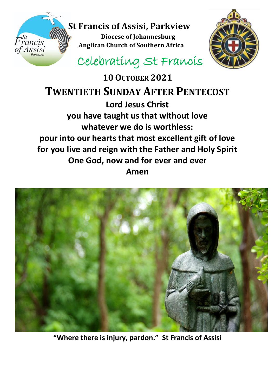



# Celebrating St Francis

**10OCTOBER 2021 TWENTIETH SUNDAY AFTER PENTECOST Lord Jesus Christ you have taught us that without love whatever we do is worthless: pour into our hearts that most excellent gift of love for you live and reign with the Father and Holy Spirit One God, now and for ever and ever Amen**



**"Where there is injury, pardon." St Francis of Assisi**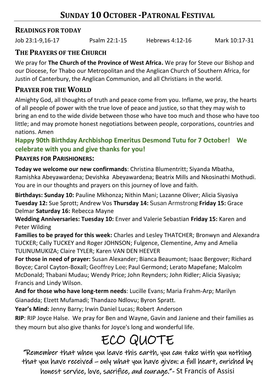### **READINGS FOR TODAY**

Job 23:1-9,16-17 Psalm 22:1-15 Hebrews 4:12-16 Mark 10:17-31

## **THE PRAYERS OF THE CHURCH**

We pray for **The Church of the Province of West Africa.** We pray for Steve our Bishop and our Diocese, for Thabo our Metropolitan and the Anglican Church of Southern Africa, for Justin of Canterbury, the Anglican Communion, and all Christians in the world.

## **PRAYER FOR THE WORLD**

Almighty God, all thoughts of truth and peace come from you. Inflame, we pray, the hearts of all people of power with the true love of peace and justice, so that they may wish to bring an end to the wide divide between those who have too much and those who have too little; and may promote honest negotiations between people, corporations, countries and nations. Amen

### **Happy 90th Birthday Archbishop Emeritus Desmond Tutu for 7 October! We celebrate with you and give thanks for you!**

#### **PRAYERS FOR PARISHIONERS:**

**Today we welcome our new confirmands**: Christina Blumentritt; Siyanda Mbatha, Ramishka Abeyawardena; Devishka Abeyawardena; Beatrix Mills and Nkosinathi Mothudi. You are in our thoughts and prayers on this journey of love and faith.

**Birthdays: Sunday 10:** Pauline Mkhonza**;** Nithin Mani; Lazanne Oliver; Alicia Siyasiya **Tuesday 12:** Sue Sprott; Andrew Vos **Thursday 14:** Susan Armstrong **Friday 15:** Grace Delmar **Saturday 16:** Rebecca Mayne

**Wedding Anniversaries: Tuesday 10:** Enver and Valerie Sebastian **Friday 15:** Karen and Peter Wilding

**Families to be prayed for this week:** Charles and Lesley THATCHER; Bronwyn and Alexandra TUCKER; Cally TUCKEY and Roger JOHNSON; Fulgence, Clementine, Amy and Amelia TULINUMUKIZA; Claire TYLER; Karen VAN DEN HEEVER

**For those in need of prayer:** Susan Alexander; Bianca Beaumont; Isaac Bergover; Richard Boyce; Carol Cayton-Boxall; Geoffrey Lee; Paul Germond; Lerato Mapefane; Malcolm McDonald; Thabani Mudau; Wendy Price; John Reynders; John Ridler; Alicia Siyasiya; Francis and Lindy Wilson.

**And for those who have long-term needs**: Lucille Evans; Maria Frahm-Arp; Marilyn Gianadda; Elzett Mufamadi; Thandazo Ndlovu; Byron Spratt.

**Year's Mind:** Jenny Barry; Irwin Daniel Lucas; Robert Anderson

**RIP**: RIP Joyce Halse. We pray for Ben and Wayne, Gavin and Janiene and their families as they mourn but also give thanks for Joyce's long and wonderful life.

# ECO QUOTE

"Remember that when you leave this earth, you can take with you nothing that you have received – only what you have given: a full heart, enriched by honest service, love, sacrifice, and courage."- St Francis of Assisi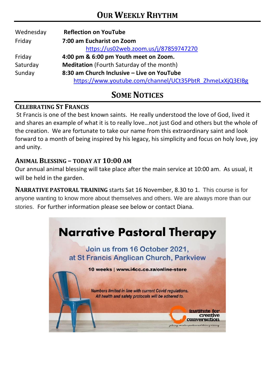| Wednesday | <b>Reflection on YouTube</b>                             |  |  |
|-----------|----------------------------------------------------------|--|--|
| Friday    | 7:00 am Eucharist on Zoom                                |  |  |
|           | https://us02web.zoom.us/j/87859747270                    |  |  |
| Friday    | 4:00 pm & 6:00 pm Youth meet on Zoom.                    |  |  |
| Saturday  | <b>Meditation</b> (Fourth Saturday of the month)         |  |  |
| Sunday    | 8:30 am Church Inclusive - Live on YouTube               |  |  |
|           | https://www.youtube.com/channel/UCt35PbtR_ZhmeLxXjQ3EIBg |  |  |

## **SOME NOTICES**

#### **CELEBRATING ST FRANCIS**

St Francis is one of the best known saints. He really understood the love of God, lived it and shares an example of what it is to really love…not just God and others but the whole of the creation. We are fortunate to take our name from this extraordinary saint and look forward to a month of being inspired by his legacy, his simplicity and focus on holy love, joy and unity.

#### **ANIMAL BLESSING – TODAY AT 10:00 AM**

Our annual animal blessing will take place after the main service at 10:00 am. As usual, it will be held in the garden.

**NARRATIVE PASTORAL TRAINING** starts Sat 16 November, 8.30 to 1. This course is for anyone wanting to know more about themselves and others. We are always more than our stories. For further information please see below or contact Diana.